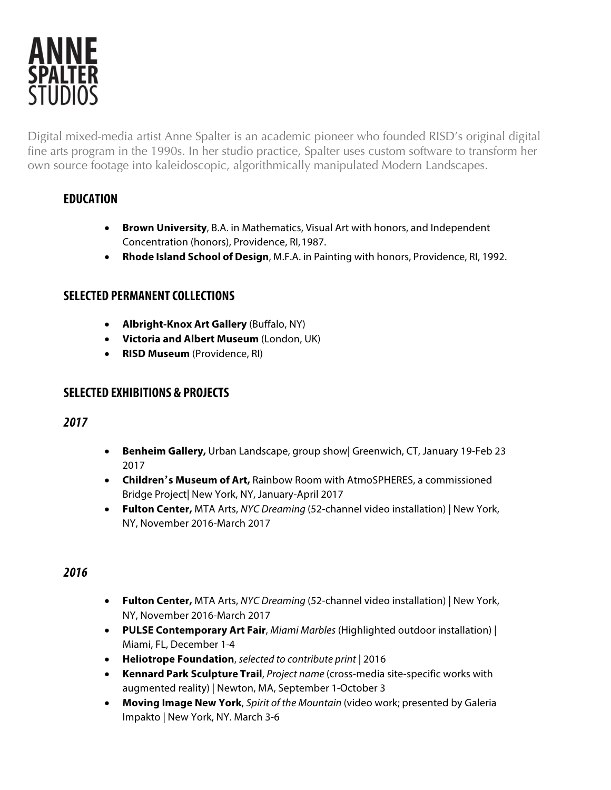

Digital mixed-media artist Anne Spalter is an academic pioneer who founded RISD's original digital fine arts program in the 1990s. In her studio practice, Spalter uses custom software to transform her own source footage into kaleidoscopic, algorithmically manipulated Modern Landscapes.

# **EDUCATION**

- **Brown University**, B.A. in Mathematics, Visual Art with honors, and Independent Concentration (honors), Providence, RI,1987.
- **Rhode Island School of Design**, M.F.A. in Painting with honors, Providence, RI, 1992.

## **SELECTED PERMANENT COLLECTIONS**

- **Albright-Knox Art Gallery** (Buffalo, NY)
- **Victoria and Albert Museum** (London, UK)
- **RISD Museum** (Providence, RI)

## **SELECTED EXHIBITIONS & PROJECTS**

## *2017*

- **Benheim Gallery,** Urban Landscape, group show| Greenwich, CT, January 19-Feb 23 2017
- **Children's Museum of Art,** Rainbow Room with AtmoSPHERES, a commissioned Bridge Project| New York, NY, January-April 2017
- **Fulton Center,** MTA Arts, *NYC Dreaming* (52-channel video installation) | New York, NY, November 2016-March 2017

- **Fulton Center,** MTA Arts, *NYC Dreaming* (52-channel video installation) | New York, NY, November 2016-March 2017
- **PULSE Contemporary Art Fair**, *Miami Marbles* (Highlighted outdoor installation) | Miami, FL, December 1-4
- **Heliotrope Foundation**, *selected to contribute print* | 2016
- **Kennard Park Sculpture Trail**, *Project name* (cross-media site-specific works with augmented reality) | Newton, MA, September 1-October 3
- **Moving Image New York**, *Spirit of the Mountain* (video work; presented by Galeria Impakto | New York, NY. March 3-6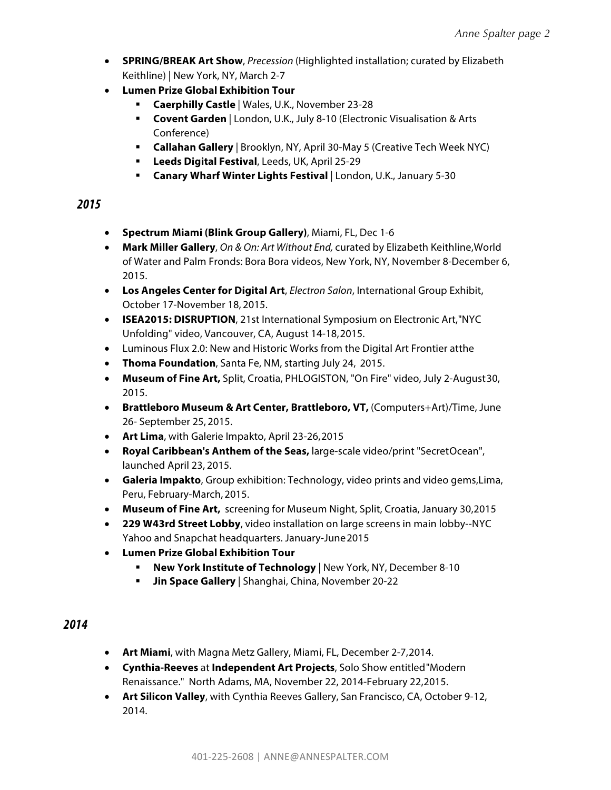- **SPRING/BREAK Art Show**, *Precession* (Highlighted installation; curated by Elizabeth Keithline) | New York, NY, March 2-7
- **Lumen Prize Global Exhibition Tour**
	- § **Caerphilly Castle** | Wales, U.K., November 23-28
	- **Covent Garden** | London, U.K., July 8-10 (Electronic Visualisation & Arts Conference)
	- § **Callahan Gallery** | Brooklyn, NY, April 30-May 5 (Creative Tech Week NYC)
	- § **Leeds Digital Festival**, Leeds, UK, April 25-29
	- § **Canary Wharf Winter Lights Festival** | London, U.K., January 5-30

### *2015*

- **Spectrum Miami (Blink Group Gallery)**, Miami, FL, Dec 1-6
- **Mark Miller Gallery**, *On & On: Art Without End,* curated by Elizabeth Keithline,World of Water and Palm Fronds: Bora Bora videos, New York, NY, November 8-December 6, 2015.
- **Los Angeles Center for Digital Art**, *Electron Salon*, International Group Exhibit, October 17-November 18, 2015.
- **ISEA2015: DISRUPTION**, 21st International Symposium on Electronic Art,"NYC Unfolding" video, Vancouver, CA, August 14-18,2015.
- Luminous Flux 2.0: New and Historic Works from the Digital Art Frontier atthe
- **Thoma Foundation**, Santa Fe, NM, starting July 24, 2015.
- **Museum of Fine Art,** Split, Croatia, PHLOGISTON, "On Fire" video, July 2-August30, 2015.
- **Brattleboro Museum & Art Center, Brattleboro, VT,** (Computers+Art)/Time, June 26- September 25, 2015.
- **Art Lima**, with Galerie Impakto, April 23-26,2015
- **Royal Caribbean's Anthem of the Seas,** large-scale video/print "SecretOcean", launched April 23, 2015.
- **Galeria Impakto**, Group exhibition: Technology, video prints and video gems,Lima, Peru, February-March, 2015.
- **Museum of Fine Art,** screening for Museum Night, Split, Croatia, January 30,2015
- **229 W43rd Street Lobby**, video installation on large screens in main lobby--NYC Yahoo and Snapchat headquarters. January-June2015
- **Lumen Prize Global Exhibition Tour**
	- § **New York Institute of Technology** | New York, NY, December 8-10
	- § **Jin Space Gallery** | Shanghai, China, November 20-22

- **Art Miami**, with Magna Metz Gallery, Miami, FL, December 2-7,2014.
- **Cynthia-Reeves** at **Independent Art Projects**, Solo Show entitled"Modern Renaissance." North Adams, MA, November 22, 2014-February 22,2015.
- **Art Silicon Valley**, with Cynthia Reeves Gallery, San Francisco, CA, October 9-12, 2014.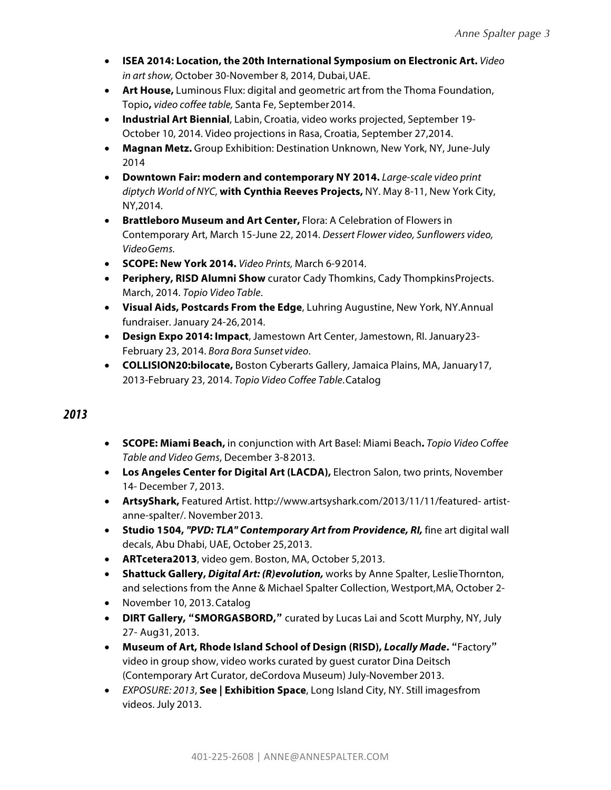- **ISEA 2014: Location, the 20th International Symposium on Electronic Art.** *Video in art show,* October 30-November 8, 2014, Dubai,UAE.
- **Art House,** Luminous Flux: digital and geometric art from the Thoma Foundation, Topio**,** *video coffee table,* Santa Fe, September2014.
- **Industrial Art Biennial**, Labin, Croatia, video works projected, September 19- October 10, 2014. Video projections in Rasa, Croatia, September 27,2014.
- **Magnan Metz.** Group Exhibition: Destination Unknown, New York, NY, June-July 2014
- **Downtown Fair: modern and contemporary NY 2014.** *Large-scale video print diptych World of NYC,* **with Cynthia Reeves Projects,** NY. May 8-11, New York City, NY,2014.
- **Brattleboro Museum and Art Center,** Flora: A Celebration of Flowers in Contemporary Art, March 15-June 22, 2014. *Dessert Flower video, Sunflowers video, VideoGems.*
- **SCOPE: New York 2014.** *Video Prints,* March 6-92014.
- **Periphery, RISD Alumni Show** curator Cady Thomkins, Cady ThompkinsProjects. March, 2014. *Topio Video Table*.
- **Visual Aids, Postcards From the Edge**, Luhring Augustine, New York, NY.Annual fundraiser. January 24-26,2014.
- **Design Expo 2014: Impact**, Jamestown Art Center, Jamestown, RI. January23- February 23, 2014. *Bora Bora Sunset video*.
- **COLLISION20:bilocate,** Boston Cyberarts Gallery, Jamaica Plains, MA, January17, 2013-February 23, 2014. *Topio Video Coffee Table*.Catalog

- **SCOPE: Miami Beach,** in conjunction with Art Basel: Miami Beach**.** *Topio Video Coffee Table and Video Gems*, December 3-82013.
- **Los Angeles Center for Digital Art (LACDA),** Electron Salon, two prints, November 14- December 7, 2013.
- **ArtsyShark,** Featured Artist. http://www.artsyshark.com/2013/11/11/featured- artistanne-spalter/. November 2013.
- **Studio 1504,** *"PVD: TLA" Contemporary Art from Providence, RI,* fine art digital wall decals, Abu Dhabi, UAE, October 25,2013.
- **ARTcetera2013**, video gem. Boston, MA, October 5,2013.
- **Shattuck Gallery,** *Digital Art: (R)evolution,* works by Anne Spalter, LeslieThornton, and selections from the Anne & Michael Spalter Collection, Westport,MA, October 2-
- November 10, 2013.Catalog
- **DIRT Gallery, "SMORGASBORD,"** curated by Lucas Lai and Scott Murphy, NY, July 27- Aug31, 2013.
- **Museum of Art, Rhode Island School of Design (RISD),** *Locally Made***.** "Factory" video in group show, video works curated by guest curator Dina Deitsch (Contemporary Art Curator, deCordova Museum) July-November 2013.
- *EXPOSURE: 2013*, **See | Exhibition Space**, Long Island City, NY. Still imagesfrom videos. July 2013.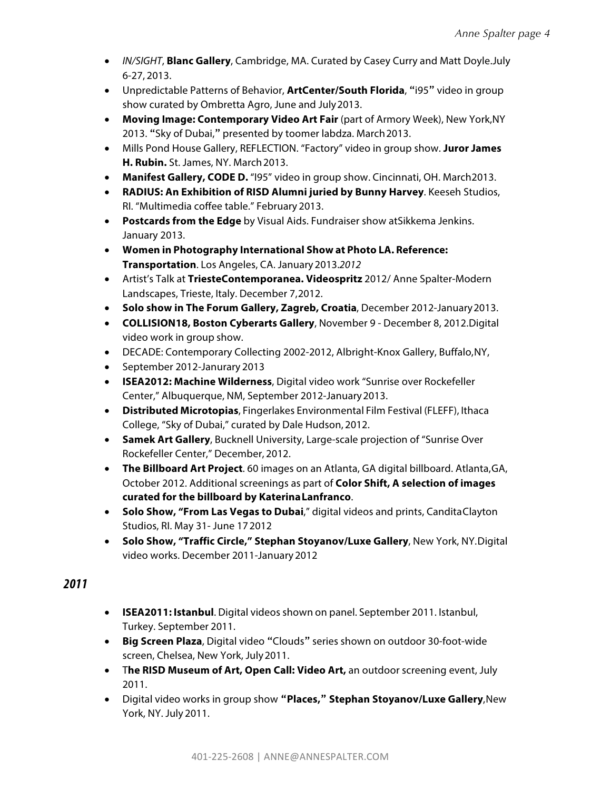- *IN/SIGHT*, **Blanc Gallery**, Cambridge, MA. Curated by Casey Curry and Matt Doyle.July 6-27, 2013.
- Unpredictable Patterns of Behavior, **ArtCenter/South Florida**, "i95" video in group show curated by Ombretta Agro, June and July2013.
- **Moving Image: Contemporary Video Art Fair** (part of Armory Week), New York,NY 2013. "Sky of Dubai," presented by toomer labdza. March 2013.
- Mills Pond House Gallery, REFLECTION. "Factory" video in group show. **Juror James H. Rubin.** St. James, NY. March 2013.
- **Manifest Gallery, CODE D.** "I95" video in group show. Cincinnati, OH. March2013.
- **RADIUS: An Exhibition of RISD Alumni juried by Bunny Harvey**. Keeseh Studios, RI. "Multimedia coffee table." February 2013.
- **Postcards from the Edge** by Visual Aids. Fundraiser show atSikkema Jenkins. January 2013.
- **Women in Photography International Show at Photo LA. Reference: Transportation**. Los Angeles, CA. January 2013.*2012*
- Artist's Talk at **TriesteContemporanea. Videospritz** 2012/ Anne Spalter-Modern Landscapes, Trieste, Italy. December 7,2012.
- **Solo show in The Forum Gallery, Zagreb, Croatia**, December 2012-January2013.
- **COLLISION18, Boston Cyberarts Gallery**, November 9 December 8, 2012.Digital video work in group show.
- DECADE: Contemporary Collecting 2002-2012, Albright-Knox Gallery, Buffalo,NY,
- September 2012-Janurary 2013
- **ISEA2012: Machine Wilderness**, Digital video work "Sunrise over Rockefeller Center," Albuquerque, NM, September 2012-January2013.
- **Distributed Microtopias**, Fingerlakes Environmental Film Festival (FLEFF), Ithaca College, "Sky of Dubai," curated by Dale Hudson, 2012.
- **Samek Art Gallery**, Bucknell University, Large-scale projection of "Sunrise Over Rockefeller Center," December, 2012.
- **The Billboard Art Project**. 60 images on an Atlanta, GA digital billboard. Atlanta,GA, October 2012. Additional screenings as part of **Color Shift, A selection of images curated for the billboard by KaterinaLanfranco**.
- **Solo Show, "From Las Vegas to Dubai**," digital videos and prints, CanditaClayton Studios, RI. May 31- June 172012
- **Solo Show, "Traffic Circle," Stephan Stoyanov/Luxe Gallery**, New York, NY.Digital video works. December 2011-January 2012

- **ISEA2011: Istanbul**. Digital videos shown on panel. September 2011. Istanbul, Turkey. September 2011.
- **Big Screen Plaza**, Digital video "Clouds" series shown on outdoor 30-foot-wide screen, Chelsea, New York, July2011.
- T**he RISD Museum of Art, Open Call: Video Art,** an outdoor screening event, July 2011.
- Digital video works in group show **"Places," Stephan Stoyanov/Luxe Gallery**,New York, NY. July 2011.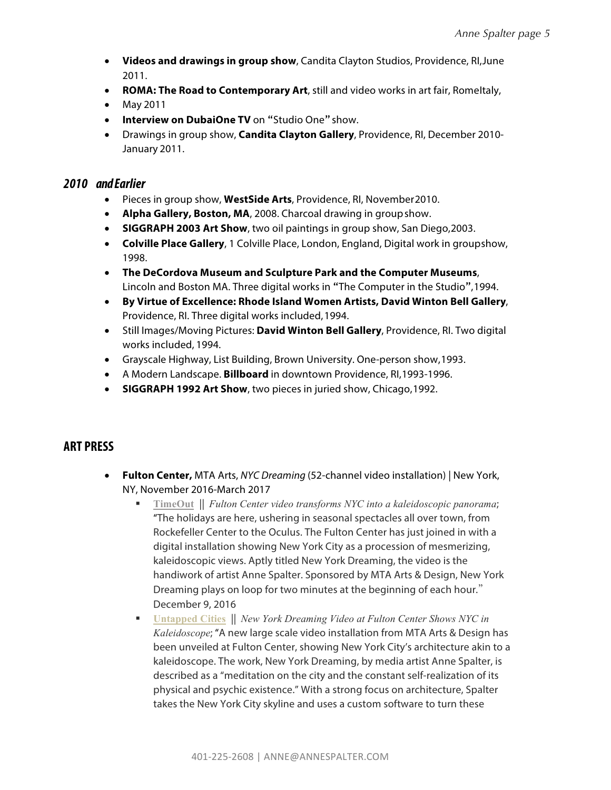- **Videos and drawings in group show**, Candita Clayton Studios, Providence, RI,June 2011.
- **ROMA: The Road to Contemporary Art**, still and video works in art fair, RomeItaly,
- May 2011
- **Interview on DubaiOne TV** on "Studio One" show.
- Drawings in group show, **Candita Clayton Gallery**, Providence, RI, December 2010- January 2011.

#### *2010 and Earlier*

- Pieces in group show, **WestSide Arts**, Providence, RI, November2010.
- **Alpha Gallery, Boston, MA**, 2008. Charcoal drawing in groupshow.
- **SIGGRAPH 2003 Art Show**, two oil paintings in group show, San Diego,2003.
- **Colville Place Gallery**, 1 Colville Place, London, England, Digital work in groupshow, 1998.
- **The DeCordova Museum and Sculpture Park and the Computer Museums**, Lincoln and Boston MA. Three digital works in "The Computer in the Studio",1994.
- **By Virtue of Excellence: Rhode Island Women Artists, David Winton Bell Gallery**, Providence, RI. Three digital works included,1994.
- Still Images/Moving Pictures: **David Winton Bell Gallery**, Providence, RI. Two digital works included, 1994.
- Grayscale Highway, List Building, Brown University. One-person show,1993.
- A Modern Landscape. **Billboard** in downtown Providence, RI,1993-1996.
- **SIGGRAPH 1992 Art Show**, two pieces in juried show, Chicago,1992.

### **ART PRESS**

- **Fulton Center,** MTA Arts, *NYC Dreaming* (52-channel video installation) | New York, NY, November 2016-March 2017
	- § **TimeOut** || *Fulton Center video transforms NYC into a kaleidoscopic panorama*; "The holidays are here, ushering in seasonal spectacles all over town, from Rockefeller Center to the Oculus. The Fulton Center has just joined in with a digital installation showing New York City as a procession of mesmerizing, kaleidoscopic views. Aptly titled New York Dreaming, the video is the handiwork of artist Anne Spalter. Sponsored by MTA Arts & Design, New York Dreaming plays on loop for two minutes at the beginning of each hour." December 9, 2016
	- **Untapped Cities** || *New York Dreaming Video at Fulton Center Shows NYC in Kaleidoscope*; "A new large scale video installation from MTA Arts & Design has been unveiled at Fulton Center, showing New York City's architecture akin to a kaleidoscope. The work, New York Dreaming, by media artist Anne Spalter, is described as a "meditation on the city and the constant self-realization of its physical and psychic existence." With a strong focus on architecture, Spalter takes the New York City skyline and uses a custom software to turn these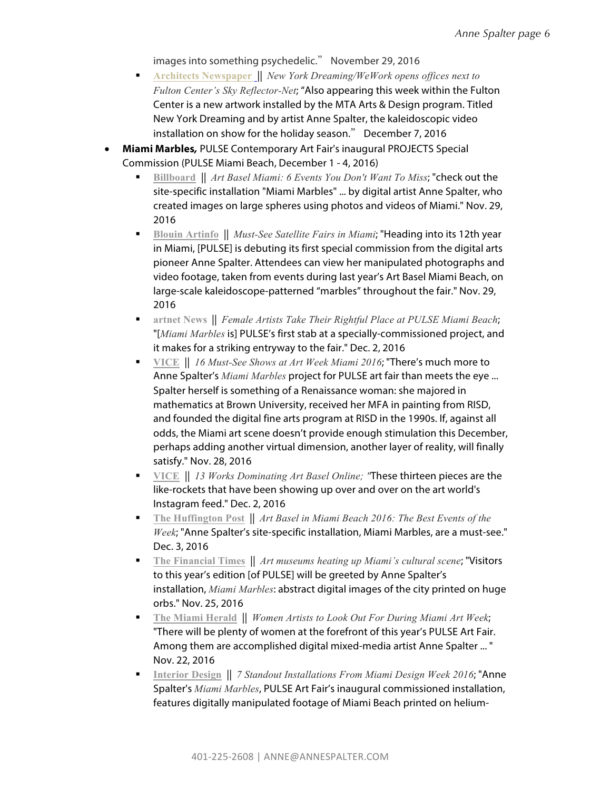images into something psychedelic." November 29, 2016

- § **Architects Newspaper** || *New York Dreaming/WeWork opens offices next to Fulton Center's Sky Reflector-Net*; "Also appearing this week within the Fulton Center is a new artwork installed by the MTA Arts & Design program. Titled New York Dreaming and by artist Anne Spalter, the kaleidoscopic video installation on show for the holiday season." December 7, 2016
- **Miami Marbles***,* PULSE Contemporary Art Fair's inaugural PROJECTS Special Commission (PULSE Miami Beach, December 1 - 4, 2016)
	- § **Billboard** || *Art Basel Miami: 6 Events You Don't Want To Miss*; "check out the site-specific installation "Miami Marbles" ... by digital artist Anne Spalter, who created images on large spheres using photos and videos of Miami." Nov. 29, 2016
	- § **Blouin Artinfo** || *Must-See Satellite Fairs in Miami*; "Heading into its 12th year in Miami, [PULSE] is debuting its first special commission from the digital arts pioneer Anne Spalter. Attendees can view her manipulated photographs and video footage, taken from events during last year's Art Basel Miami Beach, on large-scale kaleidoscope-patterned "marbles" throughout the fair." Nov. 29, 2016
	- § **artnet News** || *Female Artists Take Their Rightful Place at PULSE Miami Beach*; "[*Miami Marbles* is] PULSE's first stab at a specially-commissioned project, and it makes for a striking entryway to the fair." Dec. 2, 2016
	- **VICE** || *16 Must-See Shows at Art Week Miami 2016*; "There's much more to Anne Spalter's *Miami Marbles* project for PULSE art fair than meets the eye ... Spalter herself is something of a Renaissance woman: she majored in mathematics at Brown University, received her MFA in painting from RISD, and founded the digital fine arts program at RISD in the 1990s. If, against all odds, the Miami art scene doesn't provide enough stimulation this December, perhaps adding another virtual dimension, another layer of reality, will finally satisfy." Nov. 28, 2016
	- § **VICE** || *13 Works Dominating Art Basel Online; "*These thirteen pieces are the like-rockets that have been showing up over and over on the art world's Instagram feed." Dec. 2, 2016
	- § **The Huffington Post** || *Art Basel in Miami Beach 2016: The Best Events of the Week*; "Anne Spalter's site-specific installation, Miami Marbles, are a must-see." Dec. 3, 2016
	- § **The Financial Times** || *Art museums heating up Miami's cultural scene*; "Visitors to this year's edition [of PULSE] will be greeted by Anne Spalter's installation, *Miami Marbles*: abstract digital images of the city printed on huge orbs." Nov. 25, 2016
	- § **The Miami Herald** || *Women Artists to Look Out For During Miami Art Week*; "There will be plenty of women at the forefront of this year's PULSE Art Fair. Among them are accomplished digital mixed-media artist Anne Spalter ... " Nov. 22, 2016
	- § **Interior Design** || *7 Standout Installations From Miami Design Week 2016*; "Anne Spalter's *Miami Marbles*, PULSE Art Fair's inaugural commissioned installation, features digitally manipulated footage of Miami Beach printed on helium-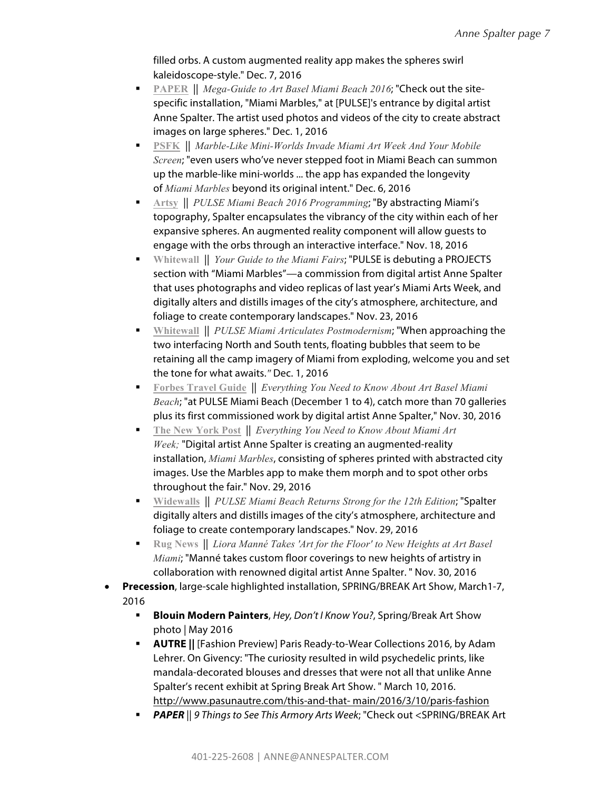filled orbs. A custom augmented reality app makes the spheres swirl kaleidoscope-style." Dec. 7, 2016

- § **PAPER** || *Mega-Guide to Art Basel Miami Beach 2016*; "Check out the sitespecific installation, "Miami Marbles," at [PULSE]'s entrance by digital artist Anne Spalter. The artist used photos and videos of the city to create abstract images on large spheres." Dec. 1, 2016
- § **PSFK** || *Marble-Like Mini-Worlds Invade Miami Art Week And Your Mobile Screen*; "even users who've never stepped foot in Miami Beach can summon up the marble-like mini-worlds ... the app has expanded the longevity of *Miami Marbles* beyond its original intent." Dec. 6, 2016
- **Artsy** || *PULSE Miami Beach 2016 Programming*; "By abstracting Miami's topography, Spalter encapsulates the vibrancy of the city within each of her expansive spheres. An augmented reality component will allow guests to engage with the orbs through an interactive interface." Nov. 18, 2016
- § **Whitewall** || *Your Guide to the Miami Fairs*; "PULSE is debuting a PROJECTS section with "Miami Marbles"—a commission from digital artist Anne Spalter that uses photographs and video replicas of last year's Miami Arts Week, and digitally alters and distills images of the city's atmosphere, architecture, and foliage to create contemporary landscapes." Nov. 23, 2016
- § **Whitewall** || *PULSE Miami Articulates Postmodernism*; "When approaching the two interfacing North and South tents, floating bubbles that seem to be retaining all the camp imagery of Miami from exploding, welcome you and set the tone for what awaits.*"* Dec. 1, 2016
- § **Forbes Travel Guide** || *Everything You Need to Know About Art Basel Miami Beach*; "at PULSE Miami Beach (December 1 to 4), catch more than 70 galleries plus its first commissioned work by digital artist Anne Spalter," Nov. 30, 2016
- § **The New York Post** || *Everything You Need to Know About Miami Art Week;* "Digital artist Anne Spalter is creating an augmented-reality installation, *Miami Marbles*, consisting of spheres printed with abstracted city images. Use the Marbles app to make them morph and to spot other orbs throughout the fair." Nov. 29, 2016
- § **Widewalls** || *PULSE Miami Beach Returns Strong for the 12th Edition*; "Spalter digitally alters and distills images of the city's atmosphere, architecture and foliage to create contemporary landscapes." Nov. 29, 2016
- **Rug News** | *Liora Manné Takes 'Art for the Floor' to New Heights at Art Basel Miami*; "Manné takes custom floor coverings to new heights of artistry in collaboration with renowned digital artist Anne Spalter. " Nov. 30, 2016
- **Precession**, large-scale highlighted installation, SPRING/BREAK Art Show, March1-7, 2016
	- § **Blouin Modern Painters**, *Hey, Don't I Know You?*, Spring/Break Art Show photo | May 2016
	- § **AUTRE ||** [Fashion Preview] Paris Ready-to-Wear Collections 2016, by Adam Lehrer. On Givency: "The curiosity resulted in wild psychedelic prints, like mandala-decorated blouses and dresses that were not all that unlike Anne Spalter's recent exhibit at Spring Break Art Show. " March 10, 2016. http://www.pasunautre.com/this-and-that- main/2016/3/10/paris-fashion
	- § *PAPER* || *9 Things to See This Armory Arts Week*; "Check out <SPRING/BREAK Art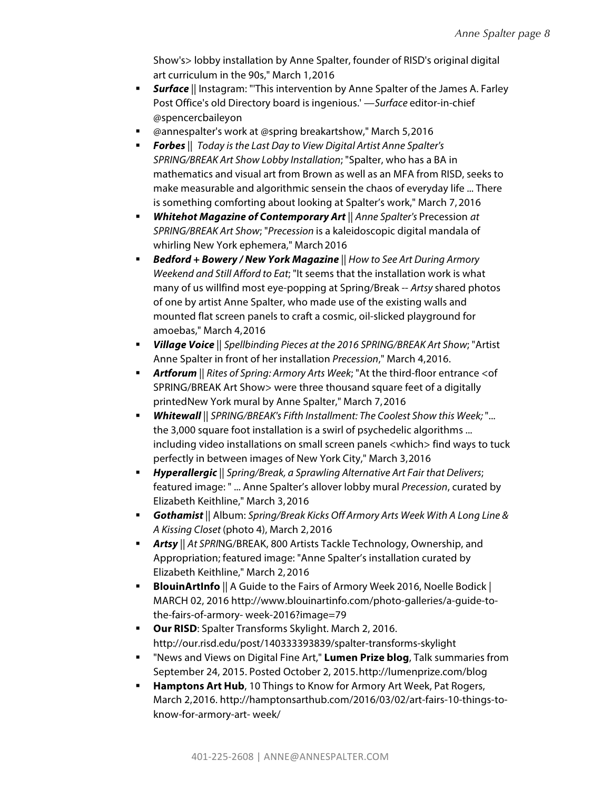Show's> lobby installation by Anne Spalter, founder of RISD's original digital art curriculum in the 90s," March 1,2016

- **Surface** || Instagram: "This intervention by Anne Spalter of the James A. Farley Post Office's old Directory board is ingenious.' —*Surface* editor-in-chief @spencercbaileyon
- @annespalter's work at @spring breakartshow," March 5,2016
- § *Forbes* || *Today is the Last Day to View Digital Artist Anne Spalter's SPRING/BREAK Art Show Lobby Installation*; "Spalter, who has a BA in mathematics and visual art from Brown as well as an MFA from RISD, seeks to make measurable and algorithmic sensein the chaos of everyday life ... There is something comforting about looking at Spalter's work," March 7, 2016
- § *Whitehot Magazine of Contemporary Art* || *Anne Spalter's* Precession *at SPRING/BREAK Art Show*; "*Precession* is a kaleidoscopic digital mandala of whirling New York ephemera," March 2016
- § *Bedford + Bowery / New York Magazine* || *How to See Art During Armory Weekend and Still Afford to Eat*; "It seems that the installation work is what many of us willfind most eye-popping at Spring/Break -- *Artsy* shared photos of one by artist Anne Spalter, who made use of the existing walls and mounted flat screen panels to craft a cosmic, oil-slicked playground for amoebas," March 4,2016
- § *Village Voice* || *Spellbinding Pieces at the 2016 SPRING/BREAK Art Show*; "Artist Anne Spalter in front of her installation *Precession*," March 4,2016.
- § *Artforum* || *Rites of Spring: Armory Arts Week*; "At the third-floor entrance <of SPRING/BREAK Art Show> were three thousand square feet of a digitally printedNew York mural by Anne Spalter," March 7,2016
- § *Whitewall* || *SPRING/BREAK's Fifth Installment: The Coolest Show this Week;* "... the 3,000 square foot installation is a swirl of psychedelic algorithms ... including video installations on small screen panels <which> find ways to tuck perfectly in between images of New York City," March 3,2016
- § *Hyperallergic* || *Spring/Break, a Sprawling Alternative Art Fair that Delivers*; featured image: " ... Anne Spalter's allover lobby mural *Precession*, curated by Elizabeth Keithline," March 3,2016
- § *Gothamist* || Album: *Spring/Break Kicks Off Armory Arts Week With A Long Line & A Kissing Closet* (photo 4), March 2,2016
- § *Artsy* || *At SPRI*NG/BREAK, 800 Artists Tackle Technology, Ownership, and Appropriation; featured image: "Anne Spalter's installation curated by Elizabeth Keithline," March 2, 2016
- **BlouinArtInfo** || A Guide to the Fairs of Armory Week 2016, Noelle Bodick | MARCH 02, 2016 http://www.blouinartinfo.com/photo-galleries/a-guide-tothe-fairs-of-armory- week-2016?image=79
- **Our RISD:** Spalter Transforms Skylight. March 2, 2016. http://our.risd.edu/post/140333393839/spalter-transforms-skylight
- § "News and Views on Digital Fine Art," **Lumen Prize blog**, Talk summaries from September 24, 2015. Posted October 2, 2015.http://lumenprize.com/blog
- **Hamptons Art Hub**, 10 Things to Know for Armory Art Week, Pat Rogers, March 2,2016. http://hamptonsarthub.com/2016/03/02/art-fairs-10-things-toknow-for-armory-art- week/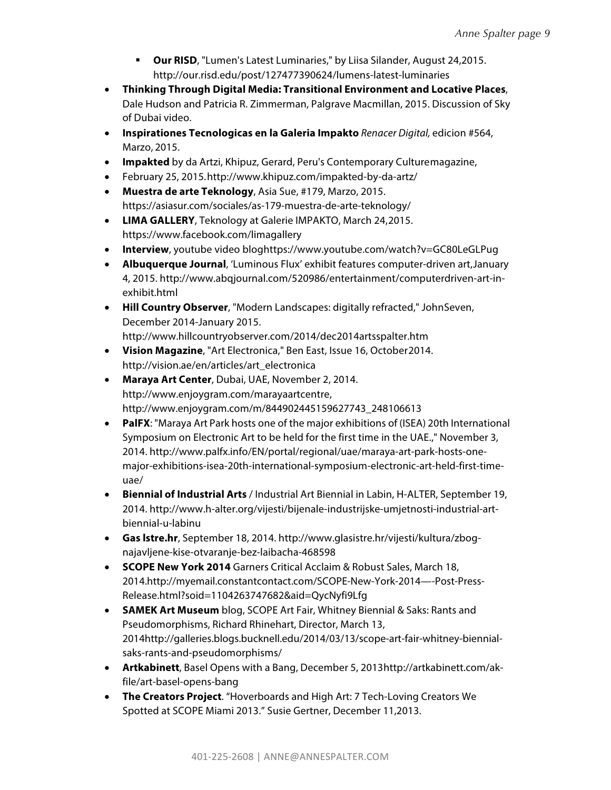- **Our RISD**, "Lumen's Latest Luminaries," by Liisa Silander, August 24,2015. http://our.risd.edu/post/127477390624/lumens-latest-luminaries
- **Thinking Through Digital Media: Transitional Environment and Locative Places**, Dale Hudson and Patricia R. Zimmerman, Palgrave Macmillan, 2015. Discussion of Sky of Dubai video.
- **Inspirationes Tecnologicas en la Galeria Impakto** *Renacer Digital,* edicion #564, Marzo, 2015.
- **Impakted** by da Artzi, Khipuz, Gerard, Peru's Contemporary Culturemagazine,
- February 25, 2015.http://www.khipuz.com/impakted-by-da-artz/
- **Muestra de arte Teknology**, Asia Sue, #179, Marzo, 2015. https://asiasur.com/sociales/as-179-muestra-de-arte-teknology/
- **LIMA GALLERY**, Teknology at Galerie IMPAKTO, March 24,2015. https://www.facebook.com/limagallery
- **Interview**, youtube video bloghttps://www.youtube.com/watch?v=GC80LeGLPug
- **Albuquerque Journal**, 'Luminous Flux' exhibit features computer-driven art,January 4, 2015. http://www.abqjournal.com/520986/entertainment/computerdriven-art-inexhibit.html
- **Hill Country Observer**, "Modern Landscapes: digitally refracted," JohnSeven, December 2014-January 2015. http://www.hillcountryobserver.com/2014/dec2014artsspalter.htm
- **Vision Magazine**, "Art Electronica," Ben East, Issue 16, October2014. http://vision.ae/en/articles/art\_electronica
- **Maraya Art Center**, Dubai, UAE, November 2, 2014. http://www.enjoygram.com/marayaartcentre, http://www.enjoygram.com/m/844902445159627743\_248106613
- **PalFX**: "Maraya Art Park hosts one of the major exhibitions of (ISEA) 20th International Symposium on Electronic Art to be held for the first time in the UAE.," November 3, 2014. http://www.palfx.info/EN/portal/regional/uae/maraya-art-park-hosts-onemajor-exhibitions-isea-20th-international-symposium-electronic-art-held-first-timeuae/
- **Biennial of Industrial Arts** / Industrial Art Biennial in Labin, H-ALTER, September 19, 2014. http://www.h-alter.org/vijesti/bijenale-industrijske-umjetnosti-industrial-artbiennial-u-labinu
- **Gas lstre.hr**, September 18, 2014. http://www.glasistre.hr/vijesti/kultura/zbognajavljene-kise-otvaranje-bez-laibacha-468598
- **SCOPE New York 2014** Garners Critical Acclaim & Robust Sales, March 18, 2014.http://myemail.constantcontact.com/SCOPE-New-York-2014—-Post-Press-Release.html?soid=1104263747682&aid=QycNyfi9Lfg
- **SAMEK Art Museum** blog, SCOPE Art Fair, Whitney Biennial & Saks: Rants and Pseudomorphisms, Richard Rhinehart, Director, March 13, 2014http://galleries.blogs.bucknell.edu/2014/03/13/scope-art-fair-whitney-biennialsaks-rants-and-pseudomorphisms/
- **Artkabinett**, Basel Opens with a Bang, December 5, 2013http://artkabinett.com/akfile/art-basel-opens-bang
- **The Creators Project**. "Hoverboards and High Art: 7 Tech-Loving Creators We Spotted at SCOPE Miami 2013." Susie Gertner, December 11,2013.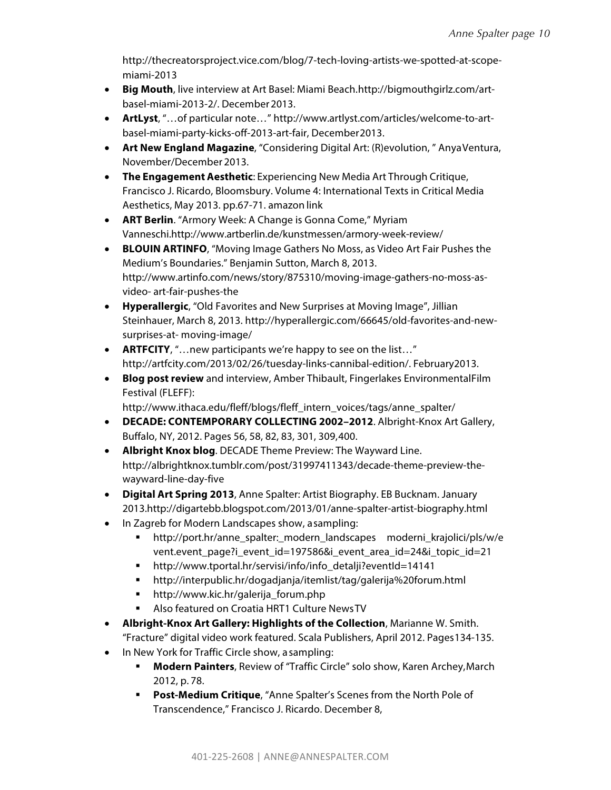http://thecreatorsproject.vice.com/blog/7-tech-loving-artists-we-spotted-at-scopemiami-2013

- **Big Mouth**, live interview at Art Basel: Miami Beach.http://bigmouthgirlz.com/artbasel-miami-2013-2/. December2013.
- **ArtLyst**, "…of particular note…" http://www.artlyst.com/articles/welcome-to-artbasel-miami-party-kicks-off-2013-art-fair, December2013.
- **Art New England Magazine**, "Considering Digital Art: (R)evolution, " AnyaVentura, November/December 2013.
- **The Engagement Aesthetic**: Experiencing New Media Art Through Critique, Francisco J. Ricardo, Bloomsbury. Volume 4: International Texts in Critical Media Aesthetics, May 2013. pp.67-71. amazon link
- **ART Berlin**. "Armory Week: A Change is Gonna Come," Myriam Vanneschi.http://www.artberlin.de/kunstmessen/armory-week-review/
- **BLOUIN ARTINFO**, "Moving Image Gathers No Moss, as Video Art Fair Pushes the Medium's Boundaries." Benjamin Sutton, March 8, 2013. http://www.artinfo.com/news/story/875310/moving-image-gathers-no-moss-asvideo- art-fair-pushes-the
- **Hyperallergic**, "Old Favorites and New Surprises at Moving Image", Jillian Steinhauer, March 8, 2013. http://hyperallergic.com/66645/old-favorites-and-newsurprises-at- moving-image/
- **ARTFCITY**, "…new participants we're happy to see on the list…" http://artfcity.com/2013/02/26/tuesday-links-cannibal-edition/. February2013.
- **Blog post review** and interview, Amber Thibault, Fingerlakes EnvironmentalFilm Festival (FLEFF):

http://www.ithaca.edu/fleff/blogs/fleff\_intern\_voices/tags/anne\_spalter/

- **DECADE: CONTEMPORARY COLLECTING 2002–2012**. Albright-Knox Art Gallery, Buffalo, NY, 2012. Pages 56, 58, 82, 83, 301, 309,400.
- **Albright Knox blog**. DECADE Theme Preview: The Wayward Line. http://albrightknox.tumblr.com/post/31997411343/decade-theme-preview-thewayward-line-day-five
- **Digital Art Spring 2013**, Anne Spalter: Artist Biography. EB Bucknam. January 2013.http://digartebb.blogspot.com/2013/01/anne-spalter-artist-biography.html
- In Zagreb for Modern Landscapes show, asampling:
	- § http://port.hr/anne\_spalter:\_modern\_landscapes moderni\_krajolici/pls/w/e vent.event\_page?i\_event\_id=197586&i\_event\_area\_id=24&i\_topic\_id=21
	- § http://www.tportal.hr/servisi/info/info\_detalji?eventId=14141
	- § http://interpublic.hr/dogadjanja/itemlist/tag/galerija%20forum.html
	- § http://www.kic.hr/galerija\_forum.php
	- § Also featured on Croatia HRT1 Culture NewsTV
- **Albright-Knox Art Gallery: Highlights of the Collection**, Marianne W. Smith. "Fracture" digital video work featured. Scala Publishers, April 2012. Pages134-135.
- In New York for Traffic Circle show, asampling:
	- **Modern Painters**, Review of "Traffic Circle" solo show, Karen Archey, March 2012, p. 78.
	- § **Post-Medium Critique**, "Anne Spalter's Scenes from the North Pole of Transcendence," Francisco J. Ricardo. December 8,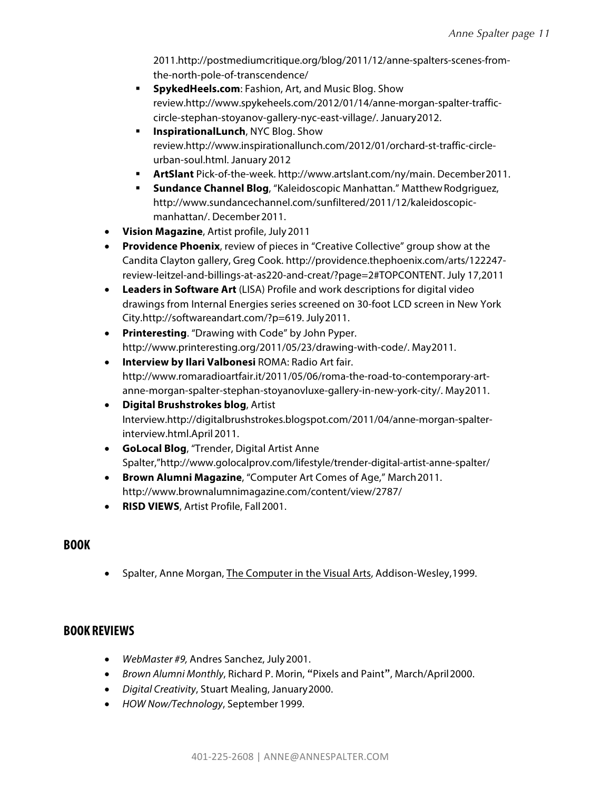2011.http://postmediumcritique.org/blog/2011/12/anne-spalters-scenes-fromthe-north-pole-of-transcendence/

- § **SpykedHeels.com**: Fashion, Art, and Music Blog. Show review.http://www.spykeheels.com/2012/01/14/anne-morgan-spalter-trafficcircle-stephan-stoyanov-gallery-nyc-east-village/. January2012.
- § **InspirationalLunch**, NYC Blog. Show review.http://www.inspirationallunch.com/2012/01/orchard-st-traffic-circleurban-soul.html. January 2012
- § **ArtSlant** Pick-of-the-week. http://www.artslant.com/ny/main. December2011.
- **Sundance Channel Blog**, "Kaleidoscopic Manhattan." Matthew Rodgriguez, http://www.sundancechannel.com/sunfiltered/2011/12/kaleidoscopicmanhattan/. December2011.
- **Vision Magazine**, Artist profile, July2011
- **Providence Phoenix**, review of pieces in "Creative Collective" group show at the Candita Clayton gallery, Greg Cook. http://providence.thephoenix.com/arts/122247 review-leitzel-and-billings-at-as220-and-creat/?page=2#TOPCONTENT. July 17,2011
- **Leaders in Software Art** (LISA) Profile and work descriptions for digital video drawings from Internal Energies series screened on 30-foot LCD screen in New York City.http://softwareandart.com/?p=619. July2011.
- **Printeresting**. "Drawing with Code" by John Pyper. http://www.printeresting.org/2011/05/23/drawing-with-code/. May2011.
- **Interview by Ilari Valbonesi** ROMA: Radio Art fair. http://www.romaradioartfair.it/2011/05/06/roma-the-road-to-contemporary-artanne-morgan-spalter-stephan-stoyanovluxe-gallery-in-new-york-city/. May2011.
- **Digital Brushstrokes blog**, Artist Interview.http://digitalbrushstrokes.blogspot.com/2011/04/anne-morgan-spalterinterview.html.April 2011.
- **GoLocal Blog**, "Trender, Digital Artist Anne Spalter,"http://www.golocalprov.com/lifestyle/trender-digital-artist-anne-spalter/
- **Brown Alumni Magazine**, "Computer Art Comes of Age," March2011. http://www.brownalumnimagazine.com/content/view/2787/
- **RISD VIEWS**, Artist Profile, Fall2001.

## **BOOK**

Spalter, Anne Morgan, The Computer in the Visual Arts, Addison-Wesley, 1999.

## **BOOK REVIEWS**

- *WebMaster #9,* Andres Sanchez, July2001.
- *Brown Alumni Monthly*, Richard P. Morin, "Pixels and Paint", March/April2000.
- *Digital Creativity*, Stuart Mealing, January2000.
- *HOW Now/Technology*, September 1999.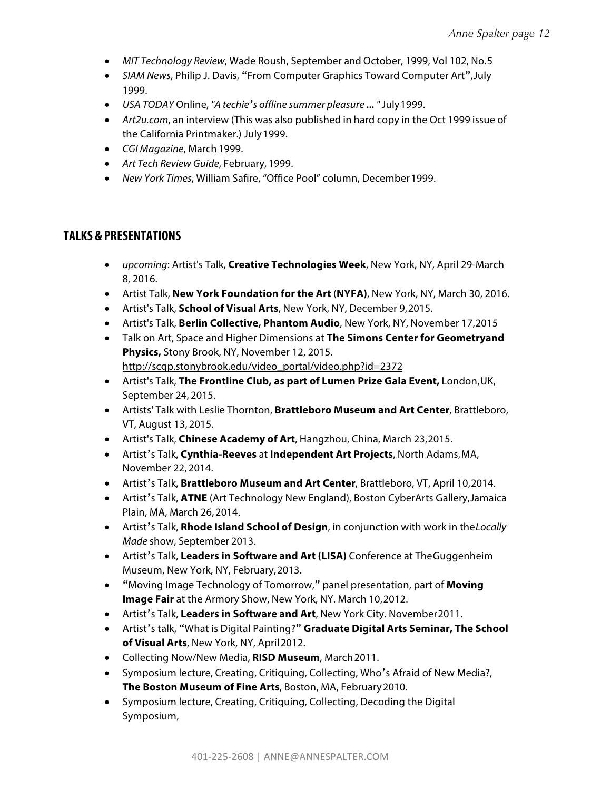- *MIT Technology Review*, Wade Roush, September and October, 1999, Vol 102, No.5
- *SIAM News*, Philip J. Davis, "From Computer Graphics Toward Computer Art",July 1999.
- *USA TODAY* Online, *"A techie's offline summer pleasure … "* July1999.
- *Art2u.com*, an interview (This was also published in hard copy in the Oct 1999 issue of the California Printmaker.) July1999.
- *CGI Magazine*, March 1999.
- *Art Tech Review Guide*, February, 1999.
- *New York Times*, William Safire, "Office Pool" column, December1999.

#### **TALKS &PRESENTATIONS**

- *upcoming*: Artist's Talk, **Creative Technologies Week**, New York, NY, April 29-March 8, 2016.
- Artist Talk, **New York Foundation for the Art** (**NYFA)**, New York, NY, March 30, 2016.
- Artist's Talk, **School of Visual Arts**, New York, NY, December 9,2015.
- Artist's Talk, **Berlin Collective, Phantom Audio**, New York, NY, November 17,2015
- Talk on Art, Space and Higher Dimensions at **The Simons Center for Geometryand Physics,** Stony Brook, NY, November 12, 2015. http://scgp.stonybrook.edu/video\_portal/video.php?id=2372
- Artist's Talk, **The Frontline Club, as part of Lumen Prize Gala Event,** London,UK, September 24, 2015.
- Artists' Talk with Leslie Thornton, **Brattleboro Museum and Art Center**, Brattleboro, VT, August 13, 2015.
- Artist's Talk, **Chinese Academy of Art**, Hangzhou, China, March 23,2015.
- Artist's Talk, **Cynthia-Reeves** at **Independent Art Projects**, North Adams,MA, November 22, 2014.
- Artist's Talk, **Brattleboro Museum and Art Center**, Brattleboro, VT, April 10,2014.
- Artist's Talk, **ATNE** (Art Technology New England), Boston CyberArts Gallery,Jamaica Plain, MA, March 26,2014.
- Artist's Talk, **Rhode Island School of Design**, in conjunction with work in the*Locally Made* show, September 2013.
- Artist's Talk, **Leaders in Software and Art (LISA)** Conference at TheGuggenheim Museum, New York, NY, February,2013.
- "Moving Image Technology of Tomorrow," panel presentation, part of **Moving Image Fair** at the Armory Show, New York, NY. March 10,2012.
- Artist's Talk, **Leaders in Software and Art**, New York City. November2011.
- Artist's talk, "What is Digital Painting?" **Graduate Digital Arts Seminar, The School of Visual Arts**, New York, NY, April2012.
- Collecting Now/New Media, **RISD Museum**, March2011.
- Symposium lecture, Creating, Critiquing, Collecting, Who's Afraid of New Media?, **The Boston Museum of Fine Arts**, Boston, MA, February2010.
- Symposium lecture, Creating, Critiquing, Collecting, Decoding the Digital Symposium,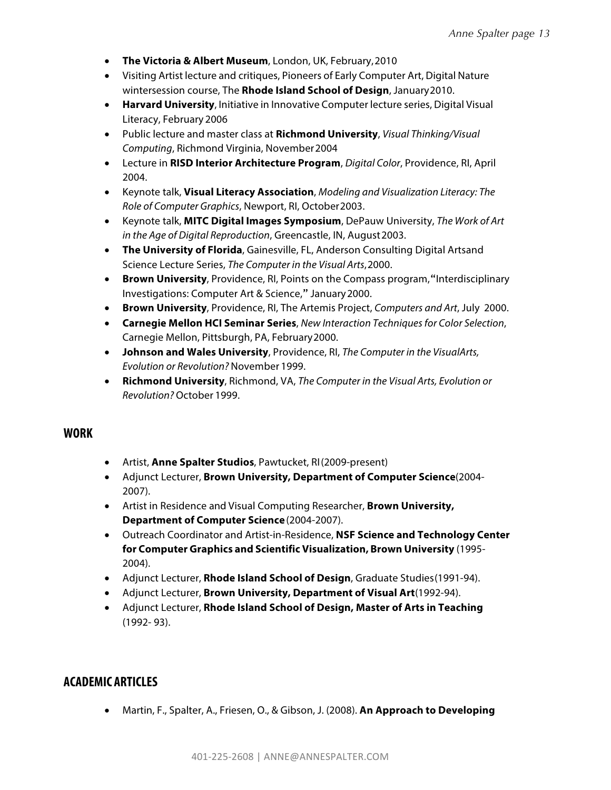- **The Victoria & Albert Museum**, London, UK, February,2010
- Visiting Artist lecture and critiques, Pioneers of Early Computer Art, Digital Nature wintersession course, The **Rhode Island School of Design**, January2010.
- **Harvard University**, Initiative in Innovative Computer lecture series, Digital Visual Literacy, February 2006
- Public lecture and master class at **Richmond University**, *Visual Thinking/Visual Computing*, Richmond Virginia, November2004
- Lecture in **RISD Interior Architecture Program**, *Digital Color*, Providence, RI, April 2004.
- Keynote talk, **Visual Literacy Association**, *Modeling and Visualization Literacy: The Role of Computer Graphics*, Newport, RI, October2003.
- Keynote talk, **MITC Digital Images Symposium**, DePauw University, *The Work of Art in the Age of Digital Reproduction*, Greencastle, IN, August2003.
- **The University of Florida**, Gainesville, FL, Anderson Consulting Digital Artsand Science Lecture Series, *The Computer in the Visual Arts*,2000.
- **Brown University**, Providence, RI, Points on the Compass program, "Interdisciplinary Investigations: Computer Art & Science," January2000.
- **Brown University**, Providence, RI, The Artemis Project, *Computers and Art*, July 2000.
- **Carnegie Mellon HCI Seminar Series**, *New Interaction Techniques for Color Selection*, Carnegie Mellon, Pittsburgh, PA, February2000.
- **Johnson and Wales University**, Providence, RI, *The Computer in the VisualArts, Evolution or Revolution?* November 1999.
- **Richmond University**, Richmond, VA, *The Computer in the Visual Arts, Evolution or Revolution?* October 1999.

### **WORK**

- Artist, **Anne Spalter Studios**, Pawtucket, RI(2009-present)
- Adjunct Lecturer, **Brown University, Department of Computer Science**(2004- 2007).
- Artist in Residence and Visual Computing Researcher, **Brown University, Department of Computer Science**(2004-2007).
- Outreach Coordinator and Artist-in-Residence, **NSF Science and Technology Center for Computer Graphics and Scientific Visualization, Brown University** (1995- 2004).
- Adjunct Lecturer, **Rhode Island School of Design**, Graduate Studies(1991-94).
- Adjunct Lecturer, **Brown University, Department of Visual Art**(1992-94).
- Adjunct Lecturer, **Rhode Island School of Design, Master of Arts in Teaching** (1992- 93).

## **ACADEMIC ARTICLES**

• Martin, F., Spalter, A., Friesen, O., & Gibson, J. (2008). **An Approach to Developing**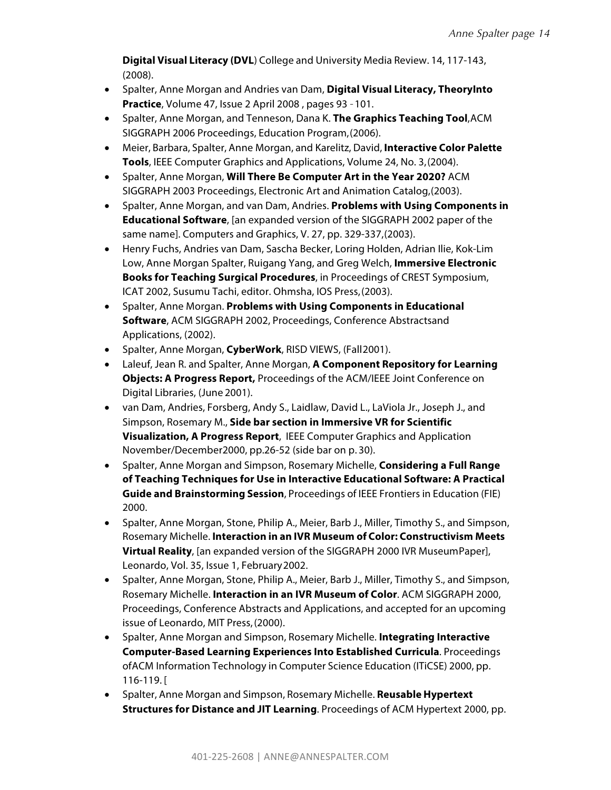**Digital Visual Literacy (DVL**) College and University Media Review. 14, 117-143, (2008).

- Spalter, Anne Morgan and Andries van Dam, **Digital Visual Literacy, TheoryInto Practice**, Volume 47, Issue 2 April 2008 , pages 93 –101.
- Spalter, Anne Morgan, and Tenneson, Dana K. **The Graphics Teaching Tool**,ACM SIGGRAPH 2006 Proceedings, Education Program,(2006).
- Meier, Barbara, Spalter, Anne Morgan, and Karelitz, David, **Interactive Color Palette Tools**, IEEE Computer Graphics and Applications, Volume 24, No. 3,(2004).
- Spalter, Anne Morgan, **Will There Be Computer Art in the Year 2020?** ACM SIGGRAPH 2003 Proceedings, Electronic Art and Animation Catalog,(2003).
- Spalter, Anne Morgan, and van Dam, Andries. **Problems with Using Components in Educational Software**, [an expanded version of the SIGGRAPH 2002 paper of the same name]. Computers and Graphics, V. 27, pp. 329-337,(2003).
- Henry Fuchs, Andries van Dam, Sascha Becker, Loring Holden, Adrian Ilie, Kok-Lim Low, Anne Morgan Spalter, Ruigang Yang, and Greg Welch, **Immersive Electronic Books for Teaching Surgical Procedures**, in Proceedings of CREST Symposium, ICAT 2002, Susumu Tachi, editor. Ohmsha, IOS Press,(2003).
- Spalter, Anne Morgan. **Problems with Using Components in Educational Software**, ACM SIGGRAPH 2002, Proceedings, Conference Abstractsand Applications, (2002).
- Spalter, Anne Morgan, **CyberWork**, RISD VIEWS, (Fall2001).
- Laleuf, Jean R. and Spalter, Anne Morgan, **A Component Repository for Learning Objects: A Progress Report,** Proceedings of the ACM/IEEE Joint Conference on Digital Libraries, (June 2001).
- van Dam, Andries, Forsberg, Andy S., Laidlaw, David L., LaViola Jr., Joseph J., and Simpson, Rosemary M., **Side bar section in Immersive VR for Scientific Visualization, A Progress Report**, IEEE Computer Graphics and Application November/December2000, pp.26-52 (side bar on p. 30).
- Spalter, Anne Morgan and Simpson, Rosemary Michelle, **Considering a Full Range of Teaching Techniques for Use in Interactive Educational Software: A Practical Guide and Brainstorming Session**, Proceedings of IEEE Frontiers in Education (FIE) 2000.
- Spalter, Anne Morgan, Stone, Philip A., Meier, Barb J., Miller, Timothy S., and Simpson, Rosemary Michelle. **Interaction in an IVR Museum of Color: Constructivism Meets Virtual Reality**, [an expanded version of the SIGGRAPH 2000 IVR MuseumPaper], Leonardo, Vol. 35, Issue 1, February2002.
- Spalter, Anne Morgan, Stone, Philip A., Meier, Barb J., Miller, Timothy S., and Simpson, Rosemary Michelle. **Interaction in an IVR Museum of Color**. ACM SIGGRAPH 2000, Proceedings, Conference Abstracts and Applications, and accepted for an upcoming issue of Leonardo, MIT Press,(2000).
- Spalter, Anne Morgan and Simpson, Rosemary Michelle. **Integrating Interactive Computer-Based Learning Experiences Into Established Curricula**. Proceedings ofACM Information Technology in Computer Science Education (ITiCSE) 2000, pp. 116-119. [
- Spalter, Anne Morgan and Simpson, Rosemary Michelle. **Reusable Hypertext Structures for Distance and JIT Learning**. Proceedings of ACM Hypertext 2000, pp.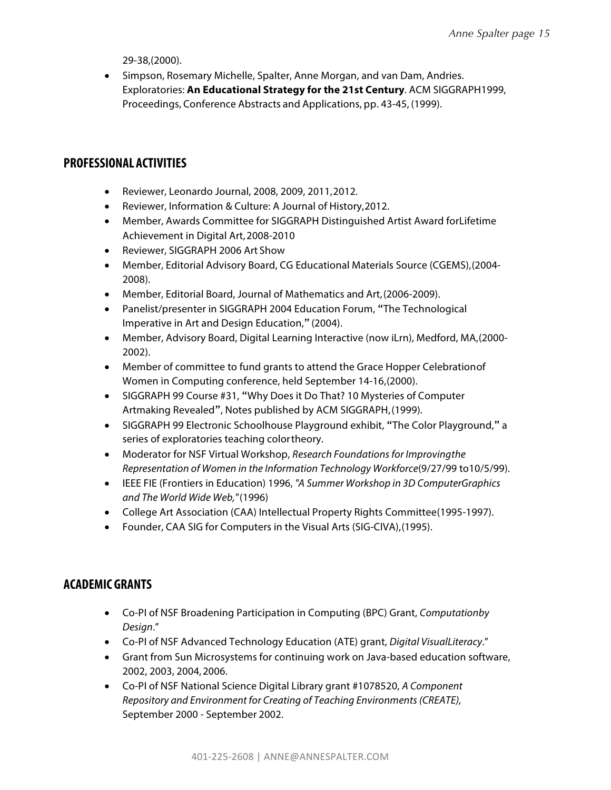29-38,(2000).

• Simpson, Rosemary Michelle, Spalter, Anne Morgan, and van Dam, Andries. Exploratories: **An Educational Strategy for the 21st Century**. ACM SIGGRAPH1999, Proceedings, Conference Abstracts and Applications, pp. 43-45, (1999).

### **PROFESSIONAL ACTIVITIES**

- Reviewer, Leonardo Journal, 2008, 2009, 2011,2012.
- Reviewer, Information & Culture: A Journal of History,2012.
- Member, Awards Committee for SIGGRAPH Distinguished Artist Award forLifetime Achievement in Digital Art,2008-2010
- Reviewer, SIGGRAPH 2006 Art Show
- Member, Editorial Advisory Board, CG Educational Materials Source (CGEMS),(2004- 2008).
- Member, Editorial Board, Journal of Mathematics and Art,(2006-2009).
- Panelist/presenter in SIGGRAPH 2004 Education Forum, "The Technological Imperative in Art and Design Education," (2004).
- Member, Advisory Board, Digital Learning Interactive (now iLrn), Medford, MA,(2000- 2002).
- Member of committee to fund grants to attend the Grace Hopper Celebrationof Women in Computing conference, held September 14-16,(2000).
- SIGGRAPH 99 Course #31, "Why Does it Do That? 10 Mysteries of Computer Artmaking Revealed", Notes published by ACM SIGGRAPH,(1999).
- SIGGRAPH 99 Electronic Schoolhouse Playground exhibit, "The Color Playground," a series of exploratories teaching colortheory.
- Moderator for NSF Virtual Workshop, *Research Foundations for Improvingthe Representation of Women in the Information Technology Workforce*(9/27/99 to10/5/99).
- IEEE FIE (Frontiers in Education) 1996, *"A Summer Workshop in 3D ComputerGraphics and The World Wide Web,"*(1996)
- College Art Association (CAA) Intellectual Property Rights Committee(1995-1997).
- Founder, CAA SIG for Computers in the Visual Arts (SIG-CIVA),(1995).

### **ACADEMIC GRANTS**

- Co-PI of NSF Broadening Participation in Computing (BPC) Grant, *Computationby Design*."
- Co-PI of NSF Advanced Technology Education (ATE) grant, *Digital VisualLiteracy*."
- Grant from Sun Microsystems for continuing work on Java-based education software, 2002, 2003, 2004,2006.
- Co-PI of NSF National Science Digital Library grant #1078520, *A Component Repository and Environment for Creating of Teaching Environments (CREATE),*  September 2000 - September 2002.